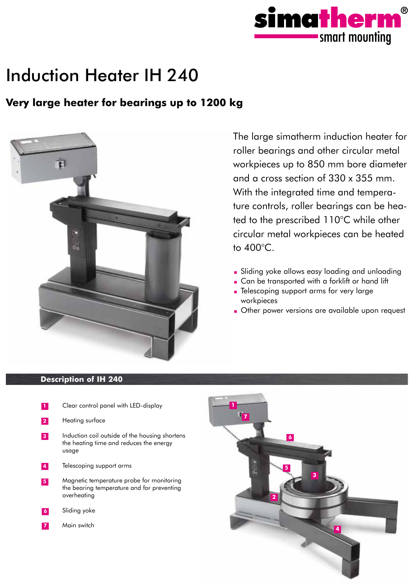

# Induction Heater IH 240

## **Very large heater for bearings up to 1200 kg**



The large simatherm induction heater for roller bearings and other circular metal workpieces up to 850 mm bore diameter and a cross section of 330 x 355 mm. With the integrated time and temperature controls, roller bearings can be heated to the prescribed 110°C while other circular metal workpieces can be heated to 400°C.

- Sliding yoke allows easy loading and unloading
- Can be transported with a forklift or hand lift
- Telescoping support arms for very large workpieces
- Other power versions are available upon request

### **Description of IH 240**

- **1** Clear control panel with LED-display
- **2** Heating surface
- **3** Induction coil outside of the housing shortens the heating time and reduces the energy usage
- **4** Telescoping support arms
- **5** Magnetic temperature probe for monitoring the bearing temperature and for preventing overheating
- **6** Sliding yoke
- Main switch **7**